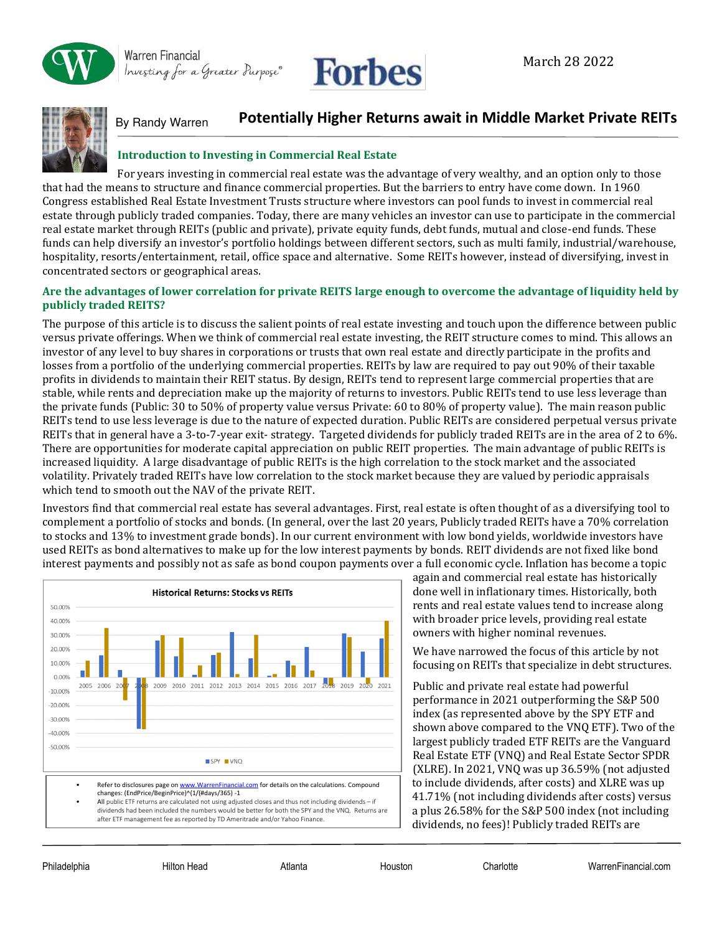

**Warren Financial** nunch mandal<br>Investing for a Greater Purpose®





By Randy Warren

## **Potentially Higher Returns await in Middle Market Private REITs**

### **Introduction to Investing in Commercial Real Estate**

For years investing in commercial real estate was the advantage of very wealthy, and an option only to those that had the means to structure and finance commercial properties. But the barriers to entry have come down. In 1960 Congress established Real Estate Investment Trusts structure where investors can pool funds to invest in commercial real estate through publicly traded companies. Today, there are many vehicles an investor can use to participate in the commercial real estate market through REITs (public and private), private equity funds, debt funds, mutual and close-end funds. These funds can help diversify an investor's portfolio holdings between different sectors, such as multi family, industrial/warehouse, hospitality, resorts/entertainment, retail, office space and alternative. Some REITs however, instead of diversifying, invest in concentrated sectors or geographical areas.

#### **Are the advantages of lower correlation for private REITS large enough to overcome the advantage of liquidity held by publicly traded REITS?**

The purpose of this article is to discuss the salient points of real estate investing and touch upon the difference between public versus private offerings. When we think of commercial real estate investing, the REIT structure comes to mind. This allows an investor of any level to buy shares in corporations or trusts that own real estate and directly participate in the profits and losses from a portfolio of the underlying commercial properties. REITs by law are required to pay out 90% of their taxable profits in dividends to maintain their REIT status. By design, REITs tend to represent large commercial properties that are stable, while rents and depreciation make up the majority of returns to investors. Public REITs tend to use less leverage than the private funds (Public: 30 to 50% of property value versus Private: 60 to 80% of property value). The main reason public REITs tend to use less leverage is due to the nature of expected duration. Public REITs are considered perpetual versus private REITs that in general have a 3-to-7-year exit- strategy. Targeted dividends for publicly traded REITs are in the area of 2 to 6%. There are opportunities for moderate capital appreciation on public REIT properties. The main advantage of public REITs is increased liquidity. A large disadvantage of public REITs is the high correlation to the stock market and the associated volatility. Privately traded REITs have low correlation to the stock market because they are valued by periodic appraisals which tend to smooth out the NAV of the private REIT.

Investors find that commercial real estate has several advantages. First, real estate is often thought of as a diversifying tool to complement a portfolio of stocks and bonds. (In general, over the last 20 years, Publicly traded REITs have a 70% correlation to stocks and 13% to investment grade bonds). In our current environment with low bond yields, worldwide investors have used REITs as bond alternatives to make up for the low interest payments by bonds. REIT dividends are not fixed like bond interest payments and possibly not as safe as bond coupon payments over a full economic cycle. Inflation has become a topic



changes: (EndPrice/BeginPrice)^(1/(#days/365) -1 • All public ETF returns are calculated not using adjusted closes and thus not including dividends – if

dividends had been included the numbers would be better for both the SPY and the VNQ. Returns are after ETF management fee as reported by TD Ameritrade and/or Yahoo Finance.

again and commercial real estate has historically done well in inflationary times. Historically, both rents and real estate values tend to increase along with broader price levels, providing real estate owners with higher nominal revenues.

We have narrowed the focus of this article by not focusing on REITs that specialize in debt structures.

Public and private real estate had powerful performance in 2021 outperforming the S&P 500 index (as represented above by the SPY ETF and shown above compared to the VNQ ETF). Two of the largest publicly traded ETF REITs are the Vanguard Real Estate ETF (VNQ) and Real Estate Sector SPDR (XLRE). In 2021, VNQ was up 36.59% (not adjusted to include dividends, after costs) and XLRE was up 41.71% (not including dividends after costs) versus a plus 26.58% for the S&P 500 index (not including dividends, no fees)! Publicly traded REITs are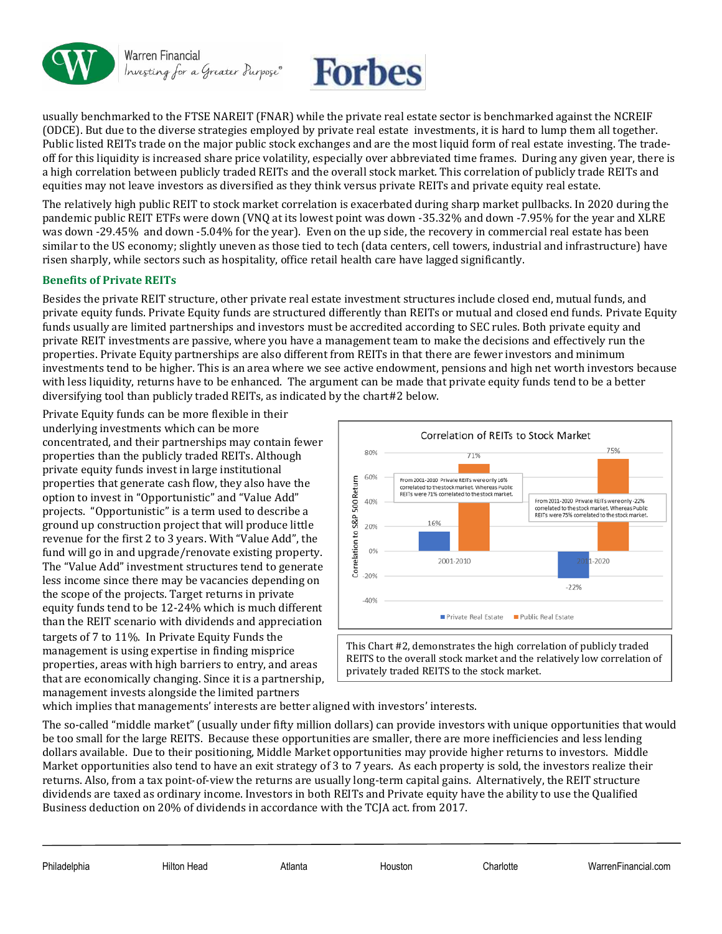



usually benchmarked to the FTSE NAREIT (FNAR) while the private real estate sector is benchmarked against the NCREIF (ODCE). But due to the diverse strategies employed by private real estate investments, it is hard to lump them all together. Public listed REITs trade on the major public stock exchanges and are the most liquid form of real estate investing. The tradeoff for this liquidity is increased share price volatility, especially over abbreviated time frames. During any given year, there is a high correlation between publicly traded REITs and the overall stock market. This correlation of publicly trade REITs and equities may not leave investors as diversified as they think versus private REITs and private equity real estate.

The relatively high public REIT to stock market correlation is exacerbated during sharp market pullbacks. In 2020 during the pandemic public REIT ETFs were down (VNQ at its lowest point was down -35.32% and down -7.95% for the year and XLRE was down -29.45% and down -5.04% for the year). Even on the up side, the recovery in commercial real estate has been similar to the US economy; slightly uneven as those tied to tech (data centers, cell towers, industrial and infrastructure) have risen sharply, while sectors such as hospitality, office retail health care have lagged significantly.

#### **Benefits of Private REITs**

Besides the private REIT structure, other private real estate investment structures include closed end, mutual funds, and private equity funds. Private Equity funds are structured differently than REITs or mutual and closed end funds. Private Equity funds usually are limited partnerships and investors must be accredited according to SEC rules. Both private equity and private REIT investments are passive, where you have a management team to make the decisions and effectively run the properties. Private Equity partnerships are also different from REITs in that there are fewer investors and minimum investments tend to be higher. This is an area where we see active endowment, pensions and high net worth investors because with less liquidity, returns have to be enhanced. The argument can be made that private equity funds tend to be a better diversifying tool than publicly traded REITs, as indicated by the chart#2 below.

Private Equity funds can be more flexible in their underlying investments which can be more concentrated, and their partnerships may contain fewer properties than the publicly traded REITs. Although private equity funds invest in large institutional properties that generate cash flow, they also have the option to invest in "Opportunistic" and "Value Add" projects. "Opportunistic" is a term used to describe a ground up construction project that will produce little revenue for the first 2 to 3 years. With "Value Add", the fund will go in and upgrade/renovate existing property. The "Value Add" investment structures tend to generate less income since there may be vacancies depending on the scope of the projects. Target returns in private equity funds tend to be 12-24% which is much different than the REIT scenario with dividends and appreciation targets of 7 to 11%. In Private Equity Funds the management is using expertise in finding misprice properties, areas with high barriers to entry, and areas that are economically changing. Since it is a partnership, management invests alongside the limited partners



which implies that managements' interests are better aligned with investors' interests.

The so-called "middle market" (usually under fifty million dollars) can provide investors with unique opportunities that would be too small for the large REITS. Because these opportunities are smaller, there are more inefficiencies and less lending dollars available. Due to their positioning, Middle Market opportunities may provide higher returns to investors. Middle Market opportunities also tend to have an exit strategy of 3 to 7 years. As each property is sold, the investors realize their returns. Also, from a tax point-of-view the returns are usually long-term capital gains. Alternatively, the REIT structure dividends are taxed as ordinary income. Investors in both REITs and Private equity have the ability to use the Qualified Business deduction on 20% of dividends in accordance with the TCJA act. from 2017.